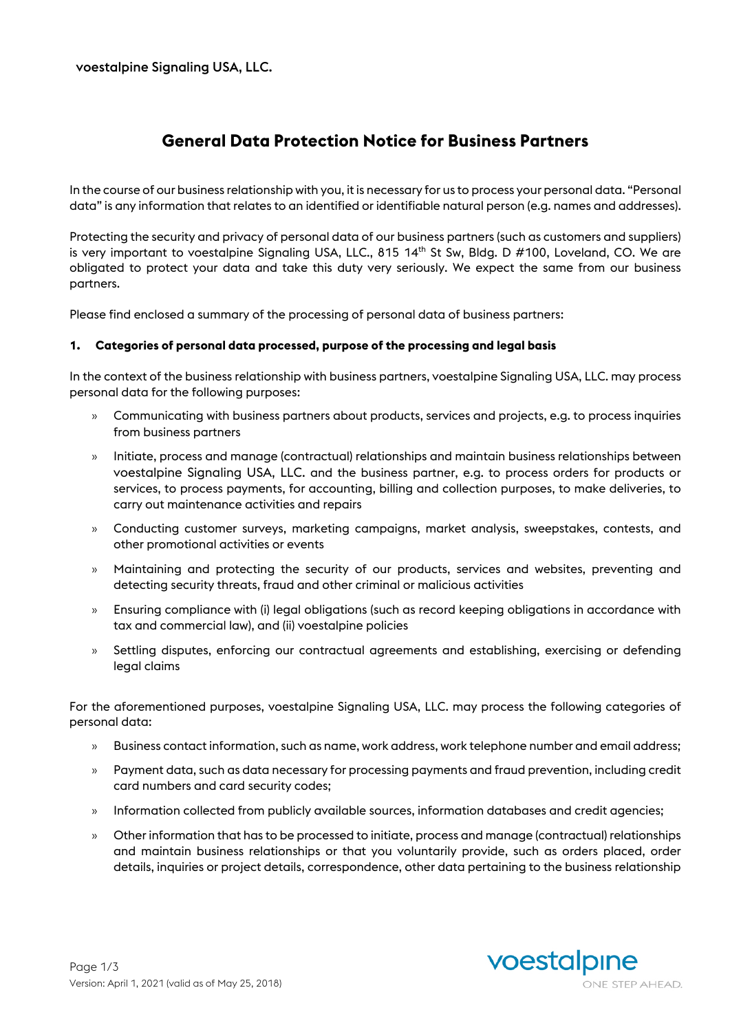# **General Data Protection Notice for Business Partners**

In the course of our business relationship with you, it is necessary for us to process your personal data. "Personal data" is any information that relates to an identified or identifiable natural person (e.g. names and addresses).

Protecting the security and privacy of personal data of our business partners (such as customers and suppliers) is very important to voestalpine Signaling USA, LLC., 815 14<sup>th</sup> St Sw, Bldg. D #100, Loveland, CO. We are obligated to protect your data and take this duty very seriously. We expect the same from our business partners.

Please find enclosed a summary of the processing of personal data of business partners:

#### **1. Categories of personal data processed, purpose of the processing and legal basis**

In the context of the business relationship with business partners, voestalpine Signaling USA, LLC. may process personal data for the following purposes:

- » Communicating with business partners about products, services and projects, e.g. to process inquiries from business partners
- » Initiate, process and manage (contractual) relationships and maintain business relationships between voestalpine Signaling USA, LLC. and the business partner, e.g. to process orders for products or services, to process payments, for accounting, billing and collection purposes, to make deliveries, to carry out maintenance activities and repairs
- » Conducting customer surveys, marketing campaigns, market analysis, sweepstakes, contests, and other promotional activities or events
- » Maintaining and protecting the security of our products, services and websites, preventing and detecting security threats, fraud and other criminal or malicious activities
- » Ensuring compliance with (i) legal obligations (such as record keeping obligations in accordance with tax and commercial law), and (ii) voestalpine policies
- » Settling disputes, enforcing our contractual agreements and establishing, exercising or defending legal claims

For the aforementioned purposes, voestalpine Signaling USA, LLC. may process the following categories of personal data:

- » Business contact information, such as name, work address, work telephone number and email address;
- » Payment data, such as data necessary for processing payments and fraud prevention, including credit card numbers and card security codes;
- » Information collected from publicly available sources, information databases and credit agencies;
- » Other information that has to be processed to initiate, process and manage (contractual) relationships and maintain business relationships or that you voluntarily provide, such as orders placed, order details, inquiries or project details, correspondence, other data pertaining to the business relationship

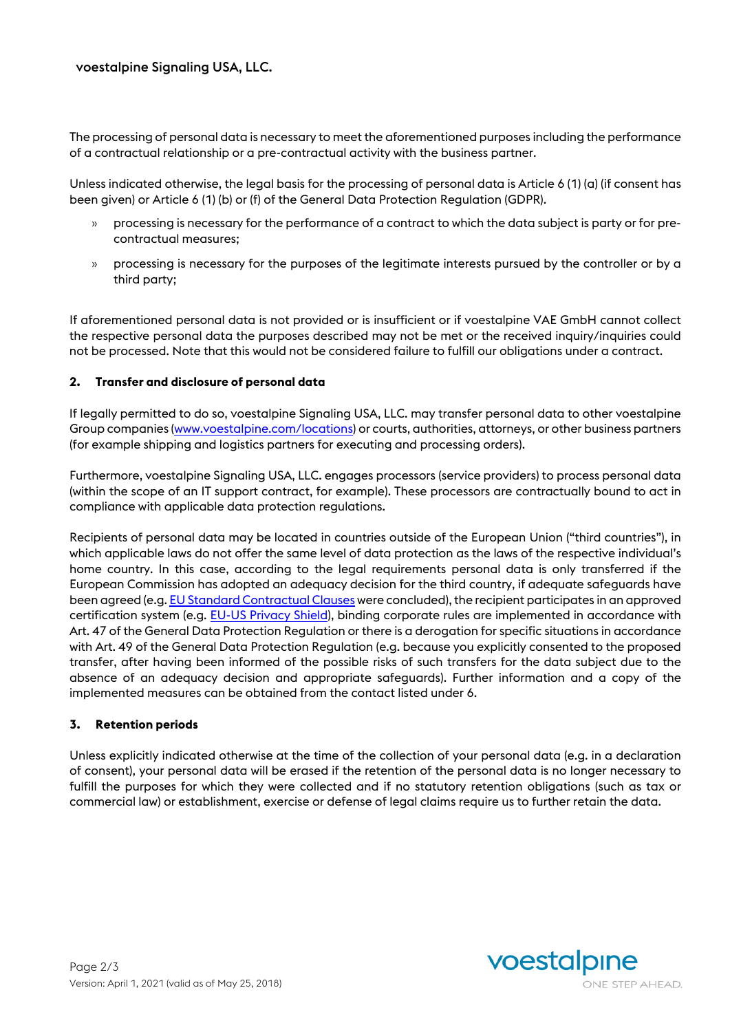The processing of personal data is necessary to meet the aforementioned purposes including the performance of a contractual relationship or a pre-contractual activity with the business partner.

Unless indicated otherwise, the legal basis for the processing of personal data is Article 6 (1) (a) (if consent has been given) or Article 6 (1) (b) or (f) of the General Data Protection Regulation (GDPR).

- » processing is necessary for the performance of a contract to which the data subject is party or for precontractual measures;
- » processing is necessary for the purposes of the legitimate interests pursued by the controller or by a third party;

If aforementioned personal data is not provided or is insufficient or if voestalpine VAE GmbH cannot collect the respective personal data the purposes described may not be met or the received inquiry/inquiries could not be processed. Note that this would not be considered failure to fulfill our obligations under a contract.

### **2. Transfer and disclosure of personal data**

If legally permitted to do so, voestalpine Signaling USA, LLC. may transfer personal data to other voestalpine Group companies [\(www.voestalpine.com/locations\)](http://www.voestalpine.com/locations) or courts, authorities, attorneys, or other business partners (for example shipping and logistics partners for executing and processing orders).

Furthermore, voestalpine Signaling USA, LLC. engages processors (service providers) to process personal data (within the scope of an IT support contract, for example). These processors are contractually bound to act in compliance with applicable data protection regulations.

Recipients of personal data may be located in countries outside of the European Union ("third countries"), in which applicable laws do not offer the same level of data protection as the laws of the respective individual's home country. In this case, according to the legal requirements personal data is only transferred if the European Commission has adopted an adequacy decision for the third country, if adequate safeguards have been agreed (e.g[. EU Standard Contractual Clauses](https://ec.europa.eu/info/law/law-topic/data-protection/data-transfers-outside-eu/model-contracts-transfer-personal-data-third-countries_en) were concluded), the recipient participates in an approved certification system (e.g. [EU-US Privacy Shield\)](https://www.privacyshield.gov/welcome), binding corporate rules are implemented in accordance with Art. 47 of the General Data Protection Regulation or there is a derogation for specific situations in accordance with Art. 49 of the General Data Protection Regulation (e.g. because you explicitly consented to the proposed transfer, after having been informed of the possible risks of such transfers for the data subject due to the absence of an adequacy decision and appropriate safeguards). Further information and a copy of the implemented measures can be obtained from the contact listed under 6.

### **3. Retention periods**

Unless explicitly indicated otherwise at the time of the collection of your personal data (e.g. in a declaration of consent), your personal data will be erased if the retention of the personal data is no longer necessary to fulfill the purposes for which they were collected and if no statutory retention obligations (such as tax or commercial law) or establishment, exercise or defense of legal claims require us to further retain the data.